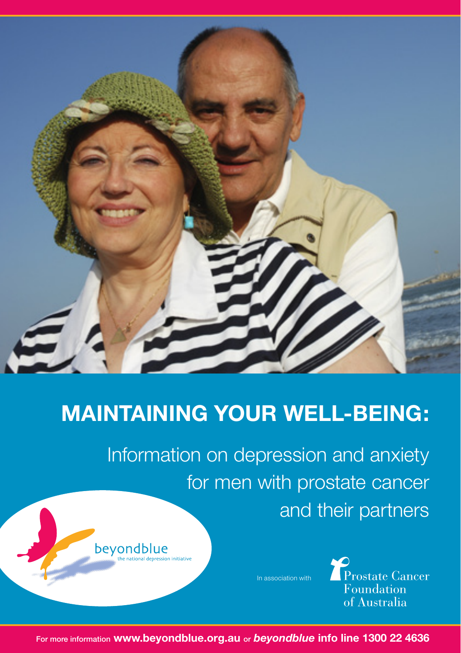

# **MAINTAINING YOUR WELL-BEING:**

Information on depression and anxiety for men with prostate cancer and their partners



Prostate Cancer Foundation of Australia

For more information **www.beyondblue.org.au** or *beyondblue* **info line 1300 22 4636**

beyondblue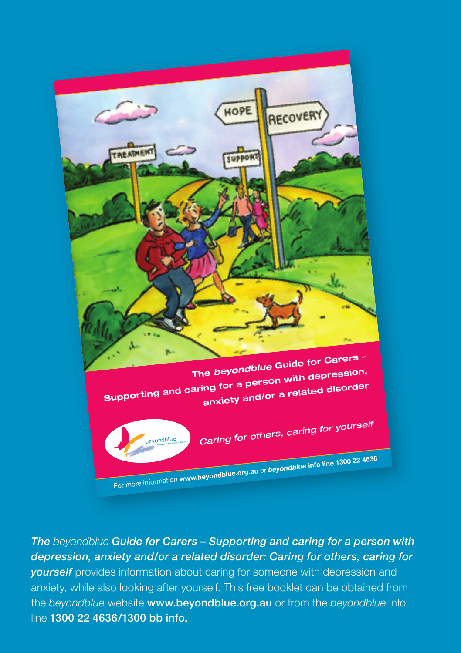

*The beyondblue Guide for Carers – Supporting and caring for a person with depression, anxiety and/or a related disorder: Caring for others, caring for*  **yourself** provides information about caring for someone with depression and anxiety, while also looking after yourself. This free booklet can be obtained from the *beyondblue* website www.beyondblue.org.au or from the *beyondblue* info line 1300 22 4636/1300 bb info.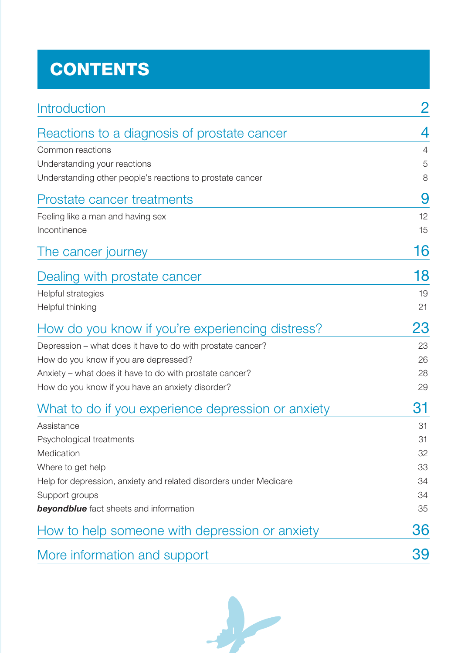# **CONTENTS**

| <b>Introduction</b>                                               | $\overline{2}$ |
|-------------------------------------------------------------------|----------------|
| Reactions to a diagnosis of prostate cancer                       | 4              |
| Common reactions                                                  | $\overline{4}$ |
| Understanding your reactions                                      | 5              |
| Understanding other people's reactions to prostate cancer         | 8              |
| Prostate cancer treatments                                        | 9              |
| Feeling like a man and having sex                                 | 12             |
| Incontinence                                                      | 15             |
| The cancer journey                                                | 16             |
| Dealing with prostate cancer                                      | 18             |
| Helpful strategies                                                | 19             |
| Helpful thinking                                                  | 21             |
| How do you know if you're experiencing distress?                  | 23             |
| Depression - what does it have to do with prostate cancer?        | 23             |
| How do you know if you are depressed?                             | 26             |
| Anxiety - what does it have to do with prostate cancer?           | 28             |
| How do you know if you have an anxiety disorder?                  | 29             |
| What to do if you experience depression or anxiety                | 31             |
| Assistance                                                        | 31             |
| Psychological treatments                                          | 31             |
| Medication                                                        | 32             |
| Where to get help                                                 | 33             |
| Help for depression, anxiety and related disorders under Medicare | 34             |
| Support groups                                                    | 34             |
| <b>beyondblue</b> fact sheets and information                     | 35             |
| How to help someone with depression or anxiety                    | 36             |
| More information and support                                      | 39             |

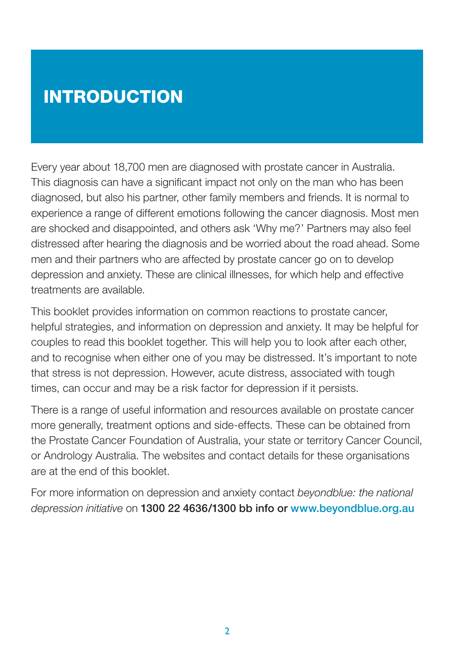## **INTRODUCTION**

Every year about 18,700 men are diagnosed with prostate cancer in Australia. This diagnosis can have a significant impact not only on the man who has been diagnosed, but also his partner, other family members and friends. It is normal to experience a range of different emotions following the cancer diagnosis. Most men are shocked and disappointed, and others ask 'Why me?' Partners may also feel distressed after hearing the diagnosis and be worried about the road ahead. Some men and their partners who are affected by prostate cancer go on to develop depression and anxiety. These are clinical illnesses, for which help and effective treatments are available.

This booklet provides information on common reactions to prostate cancer, helpful strategies, and information on depression and anxiety. It may be helpful for couples to read this booklet together. This will help you to look after each other, and to recognise when either one of you may be distressed. It's important to note that stress is not depression. However, acute distress, associated with tough times, can occur and may be a risk factor for depression if it persists.

There is a range of useful information and resources available on prostate cancer more generally, treatment options and side-effects. These can be obtained from the Prostate Cancer Foundation of Australia, your state or territory Cancer Council, or Andrology Australia. The websites and contact details for these organisations are at the end of this booklet.

For more information on depression and anxiety contact *beyondblue: the national depression initiative* on 1300 22 4636/1300 bb info or www.beyondblue.org.au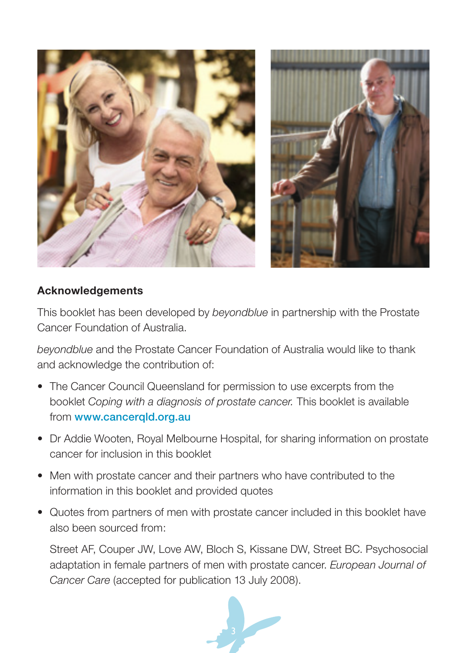

#### **Acknowledgements**

This booklet has been developed by *beyondblue* in partnership with the Prostate Cancer Foundation of Australia.

*beyondblue* and the Prostate Cancer Foundation of Australia would like to thank and acknowledge the contribution of:

- The Cancer Council Queensland for permission to use excerpts from the booklet *Coping with a diagnosis of prostate cancer.* This booklet is available from www.cancerqld.org.au
- Dr Addie Wooten, Royal Melbourne Hospital, for sharing information on prostate cancer for inclusion in this booklet
- Men with prostate cancer and their partners who have contributed to the information in this booklet and provided quotes
- Quotes from partners of men with prostate cancer included in this booklet have also been sourced from:

Street AF, Couper JW, Love AW, Bloch S, Kissane DW, Street BC. Psychosocial adaptation in female partners of men with prostate cancer. *European Journal of Cancer Care* (accepted for publication 13 July 2008).

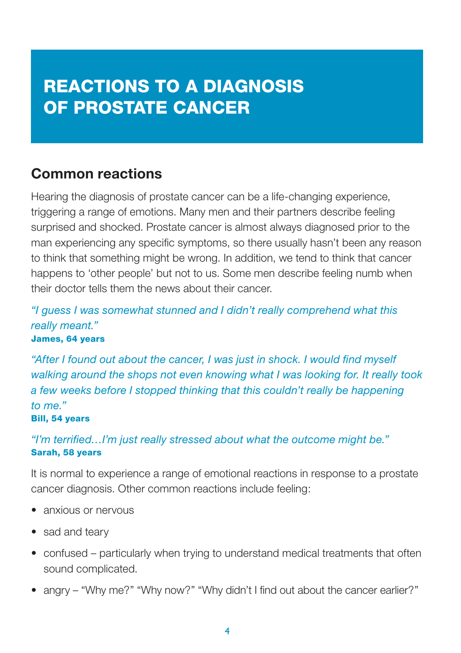## Reactions to a diagnosis of prostate cancer

### **Common reactions**

Hearing the diagnosis of prostate cancer can be a life-changing experience, triggering a range of emotions. Many men and their partners describe feeling surprised and shocked. Prostate cancer is almost always diagnosed prior to the man experiencing any specific symptoms, so there usually hasn't been any reason to think that something might be wrong. In addition, we tend to think that cancer happens to 'other people' but not to us. Some men describe feeling numb when their doctor tells them the news about their cancer.

#### *"I guess I was somewhat stunned and I didn't really comprehend what this really meant."* James, 64 years

*"After I found out about the cancer, I was just in shock. I would find myself walking around the shops not even knowing what I was looking for. It really took a few weeks before I stopped thinking that this couldn't really be happening to me."*

#### Bill, 54 years

#### *"I'm terrified…I'm just really stressed about what the outcome might be."* Sarah, 58 years

It is normal to experience a range of emotional reactions in response to a prostate cancer diagnosis. Other common reactions include feeling:

- anxious or nervous
- sad and teary
- confused particularly when trying to understand medical treatments that often sound complicated.
- angry "Why me?" "Why now?" "Why didn't I find out about the cancer earlier?"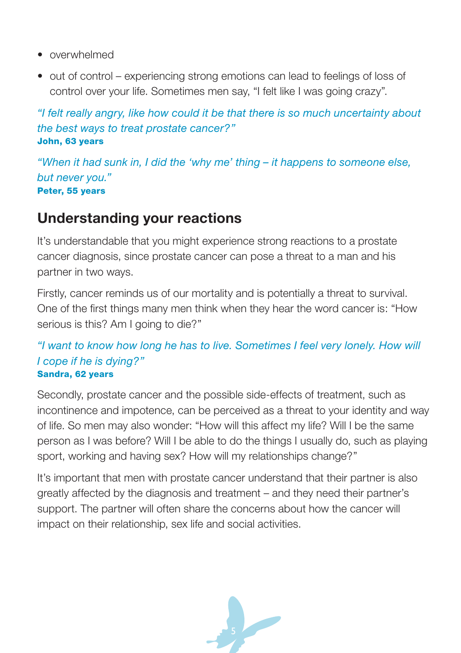- overwhelmed
- out of control experiencing strong emotions can lead to feelings of loss of control over your life. Sometimes men say, "I felt like I was going crazy".

*"I felt really angry, like how could it be that there is so much uncertainty about the best ways to treat prostate cancer?"* John, 63 years

*"When it had sunk in, I did the 'why me' thing – it happens to someone else, but never you."* Peter, 55 years

### **Understanding your reactions**

It's understandable that you might experience strong reactions to a prostate cancer diagnosis, since prostate cancer can pose a threat to a man and his partner in two ways.

Firstly, cancer reminds us of our mortality and is potentially a threat to survival. One of the first things many men think when they hear the word cancer is: "How serious is this? Am I going to die?"

#### *"I want to know how long he has to live. Sometimes I feel very lonely. How will I cope if he is dying?"* Sandra, 62 years

Secondly, prostate cancer and the possible side-effects of treatment, such as incontinence and impotence, can be perceived as a threat to your identity and way of life. So men may also wonder: "How will this affect my life? Will I be the same person as I was before? Will I be able to do the things I usually do, such as playing sport, working and having sex? How will my relationships change?"

It's important that men with prostate cancer understand that their partner is also greatly affected by the diagnosis and treatment – and they need their partner's support. The partner will often share the concerns about how the cancer will impact on their relationship, sex life and social activities.

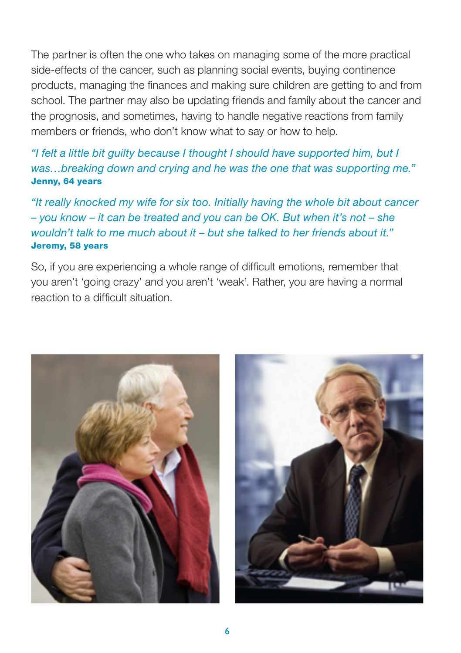The partner is often the one who takes on managing some of the more practical side-effects of the cancer, such as planning social events, buying continence products, managing the finances and making sure children are getting to and from school. The partner may also be updating friends and family about the cancer and the prognosis, and sometimes, having to handle negative reactions from family members or friends, who don't know what to say or how to help.

#### *"I felt a little bit guilty because I thought I should have supported him, but I was…breaking down and crying and he was the one that was supporting me."*  Jenny, 64 years

*"It really knocked my wife for six too. Initially having the whole bit about cancer – you know – it can be treated and you can be OK. But when it's not – she wouldn't talk to me much about it – but she talked to her friends about it."* Jeremy, 58 years

So, if you are experiencing a whole range of difficult emotions, remember that you aren't 'going crazy' and you aren't 'weak'. Rather, you are having a normal reaction to a difficult situation.



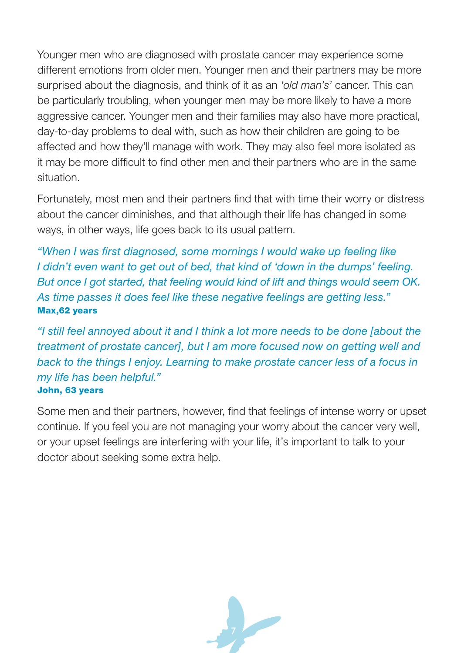Younger men who are diagnosed with prostate cancer may experience some different emotions from older men. Younger men and their partners may be more surprised about the diagnosis, and think of it as an *'old man's'* cancer. This can be particularly troubling, when younger men may be more likely to have a more aggressive cancer. Younger men and their families may also have more practical, day-to-day problems to deal with, such as how their children are going to be affected and how they'll manage with work. They may also feel more isolated as it may be more difficult to find other men and their partners who are in the same situation.

Fortunately, most men and their partners find that with time their worry or distress about the cancer diminishes, and that although their life has changed in some ways, in other ways, life goes back to its usual pattern.

*"When I was first diagnosed, some mornings I would wake up feeling like I didn't even want to get out of bed, that kind of 'down in the dumps' feeling. But once I got started, that feeling would kind of lift and things would seem OK. As time passes it does feel like these negative feelings are getting less."* Max,62 years

*"I still feel annoyed about it and I think a lot more needs to be done [about the treatment of prostate cancer], but I am more focused now on getting well and back to the things I enjoy. Learning to make prostate cancer less of a focus in my life has been helpful."* John, 63 years

Some men and their partners, however, find that feelings of intense worry or upset continue. If you feel you are not managing your worry about the cancer very well, or your upset feelings are interfering with your life, it's important to talk to your doctor about seeking some extra help.

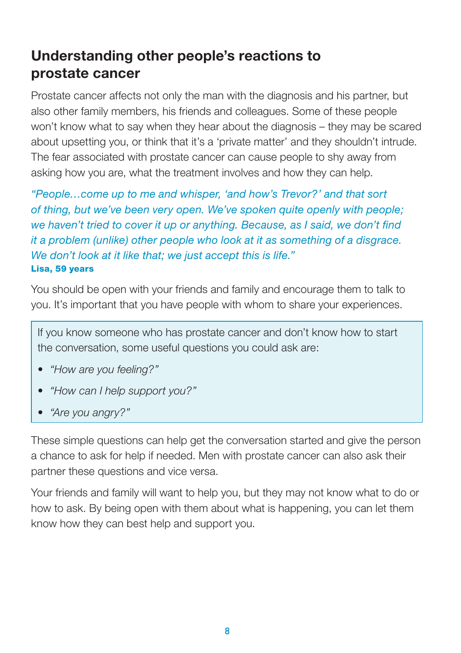### **Understanding other people's reactions to prostate cancer**

Prostate cancer affects not only the man with the diagnosis and his partner, but also other family members, his friends and colleagues. Some of these people won't know what to say when they hear about the diagnosis – they may be scared about upsetting you, or think that it's a 'private matter' and they shouldn't intrude. The fear associated with prostate cancer can cause people to shy away from asking how you are, what the treatment involves and how they can help.

*"People…come up to me and whisper, 'and how's Trevor?' and that sort of thing, but we've been very open. We've spoken quite openly with people; we haven't tried to cover it up or anything. Because, as I said, we don't find it a problem (unlike) other people who look at it as something of a disgrace. We don't look at it like that; we just accept this is life."* Lisa, 59 years

You should be open with your friends and family and encourage them to talk to you. It's important that you have people with whom to share your experiences.

If you know someone who has prostate cancer and don't know how to start the conversation, some useful questions you could ask are:

- • *"How are you feeling?"*
- • *"How can I help support you?"*
- • *"Are you angry?"*

These simple questions can help get the conversation started and give the person a chance to ask for help if needed. Men with prostate cancer can also ask their partner these questions and vice versa.

Your friends and family will want to help you, but they may not know what to do or how to ask. By being open with them about what is happening, you can let them know how they can best help and support you.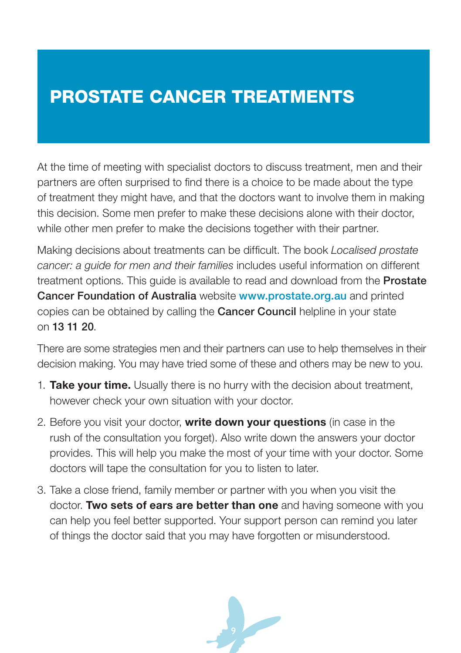## Prostate cancer treatments

At the time of meeting with specialist doctors to discuss treatment, men and their partners are often surprised to find there is a choice to be made about the type of treatment they might have, and that the doctors want to involve them in making this decision. Some men prefer to make these decisions alone with their doctor, while other men prefer to make the decisions together with their partner.

Making decisions about treatments can be difficult. The book *Localised prostate cancer: a guide for men and their families* includes useful information on different treatment options. This quide is available to read and download from the **Prostate** Cancer Foundation of Australia website www.prostate.org.au and printed copies can be obtained by calling the Cancer Council helpline in your state on 13 11 20.

There are some strategies men and their partners can use to help themselves in their decision making. You may have tried some of these and others may be new to you.

- 1. **Take your time.** Usually there is no hurry with the decision about treatment, however check your own situation with your doctor.
- 2. Before you visit your doctor, **write down your questions** (in case in the rush of the consultation you forget). Also write down the answers your doctor provides. This will help you make the most of your time with your doctor. Some doctors will tape the consultation for you to listen to later.
- 3. Take a close friend, family member or partner with you when you visit the doctor. **Two sets of ears are better than one** and having someone with you can help you feel better supported. Your support person can remind you later of things the doctor said that you may have forgotten or misunderstood.

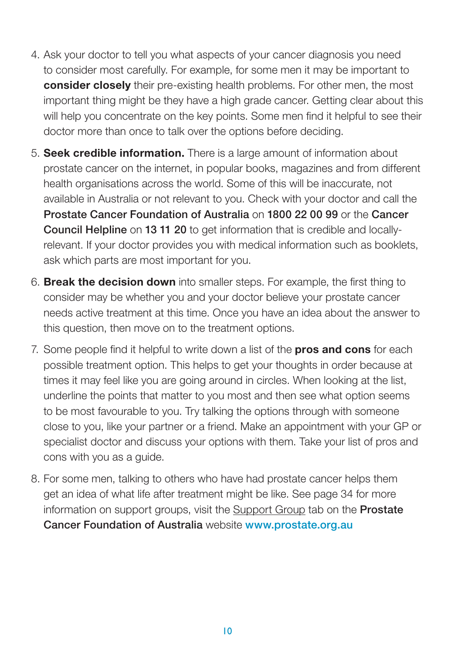- 4. Ask your doctor to tell you what aspects of your cancer diagnosis you need to consider most carefully. For example, for some men it may be important to **consider closely** their pre-existing health problems. For other men, the most important thing might be they have a high grade cancer. Getting clear about this will help you concentrate on the key points. Some men find it helpful to see their doctor more than once to talk over the options before deciding.
- 5. **Seek credible information.** There is a large amount of information about prostate cancer on the internet, in popular books, magazines and from different health organisations across the world. Some of this will be inaccurate, not available in Australia or not relevant to you. Check with your doctor and call the Prostate Cancer Foundation of Australia on 1800 22 00 99 or the Cancer Council Helpline on 13 11 20 to get information that is credible and locallyrelevant. If your doctor provides you with medical information such as booklets, ask which parts are most important for you.
- 6. **Break the decision down** into smaller steps. For example, the first thing to consider may be whether you and your doctor believe your prostate cancer needs active treatment at this time. Once you have an idea about the answer to this question, then move on to the treatment options.
- 7. Some people find it helpful to write down a list of the **pros and cons** for each possible treatment option. This helps to get your thoughts in order because at times it may feel like you are going around in circles. When looking at the list, underline the points that matter to you most and then see what option seems to be most favourable to you. Try talking the options through with someone close to you, like your partner or a friend. Make an appointment with your GP or specialist doctor and discuss your options with them. Take your list of pros and cons with you as a guide.
- 8. For some men, talking to others who have had prostate cancer helps them get an idea of what life after treatment might be like. See page 34 for more information on support groups, visit the Support Group tab on the **Prostate** Cancer Foundation of Australia website www.prostate.org.au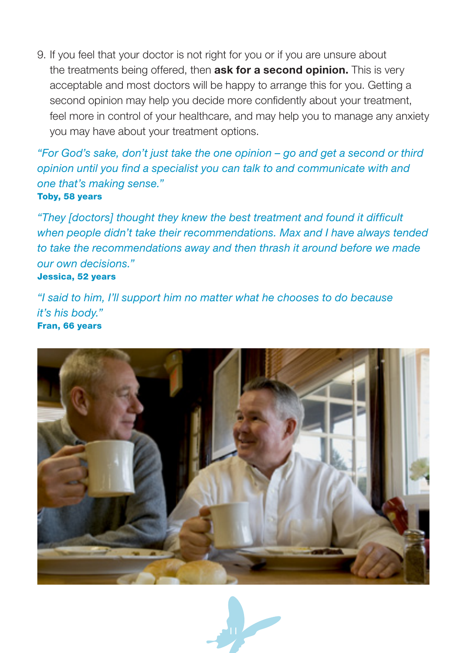9. If you feel that your doctor is not right for you or if you are unsure about the treatments being offered, then **ask for a second opinion.** This is very acceptable and most doctors will be happy to arrange this for you. Getting a second opinion may help you decide more confidently about your treatment, feel more in control of your healthcare, and may help you to manage any anxiety you may have about your treatment options.

#### *"For God's sake, don't just take the one opinion – go and get a second or third opinion until you find a specialist you can talk to and communicate with and one that's making sense."* Toby, 58 years

*"They [doctors] thought they knew the best treatment and found it difficult when people didn't take their recommendations. Max and I have always tended to take the recommendations away and then thrash it around before we made our own decisions."* Jessica, 52 years

*"I said to him, I'll support him no matter what he chooses to do because it's his body."* Fran, 66 years



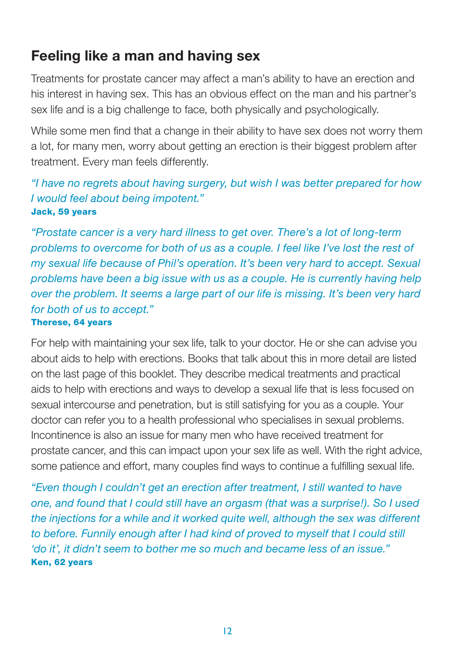### **Feeling like a man and having sex**

Treatments for prostate cancer may affect a man's ability to have an erection and his interest in having sex. This has an obvious effect on the man and his partner's sex life and is a big challenge to face, both physically and psychologically.

While some men find that a change in their ability to have sex does not worry them a lot, for many men, worry about getting an erection is their biggest problem after treatment. Every man feels differently.

#### *"I have no regrets about having surgery, but wish I was better prepared for how I would feel about being impotent."* Jack, 59 years

*"Prostate cancer is a very hard illness to get over. There's a lot of long-term problems to overcome for both of us as a couple. I feel like I've lost the rest of my sexual life because of Phil's operation. It's been very hard to accept. Sexual problems have been a big issue with us as a couple. He is currently having help over the problem. It seems a large part of our life is missing. It's been very hard for both of us to accept."*

#### Therese, 64 years

For help with maintaining your sex life, talk to your doctor. He or she can advise you about aids to help with erections. Books that talk about this in more detail are listed on the last page of this booklet. They describe medical treatments and practical aids to help with erections and ways to develop a sexual life that is less focused on sexual intercourse and penetration, but is still satisfying for you as a couple. Your doctor can refer you to a health professional who specialises in sexual problems. Incontinence is also an issue for many men who have received treatment for prostate cancer, and this can impact upon your sex life as well. With the right advice, some patience and effort, many couples find ways to continue a fulfilling sexual life.

*"Even though I couldn't get an erection after treatment, I still wanted to have one, and found that I could still have an orgasm (that was a surprise!). So I used the injections for a while and it worked quite well, although the sex was different to before. Funnily enough after I had kind of proved to myself that I could still 'do it', it didn't seem to bother me so much and became less of an issue."* Ken, 62 years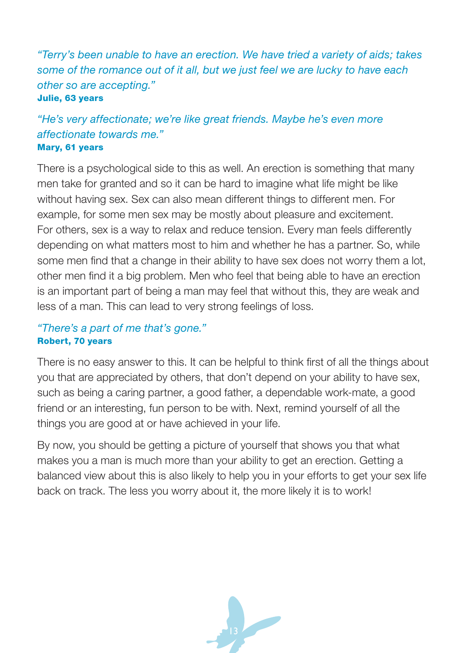#### *"Terry's been unable to have an erection. We have tried a variety of aids; takes some of the romance out of it all, but we just feel we are lucky to have each other so are accepting."* Julie, 63 years

#### *"He's very affectionate; we're like great friends. Maybe he's even more affectionate towards me."* Mary, 61 years

There is a psychological side to this as well. An erection is something that many men take for granted and so it can be hard to imagine what life might be like without having sex. Sex can also mean different things to different men. For example, for some men sex may be mostly about pleasure and excitement. For others, sex is a way to relax and reduce tension. Every man feels differently depending on what matters most to him and whether he has a partner. So, while some men find that a change in their ability to have sex does not worry them a lot, other men find it a big problem. Men who feel that being able to have an erection is an important part of being a man may feel that without this, they are weak and less of a man. This can lead to very strong feelings of loss.

#### *"There's a part of me that's gone."* Robert, 70 years

There is no easy answer to this. It can be helpful to think first of all the things about you that are appreciated by others, that don't depend on your ability to have sex, such as being a caring partner, a good father, a dependable work-mate, a good friend or an interesting, fun person to be with. Next, remind yourself of all the things you are good at or have achieved in your life.

By now, you should be getting a picture of yourself that shows you that what makes you a man is much more than your ability to get an erection. Getting a balanced view about this is also likely to help you in your efforts to get your sex life back on track. The less you worry about it, the more likely it is to work!

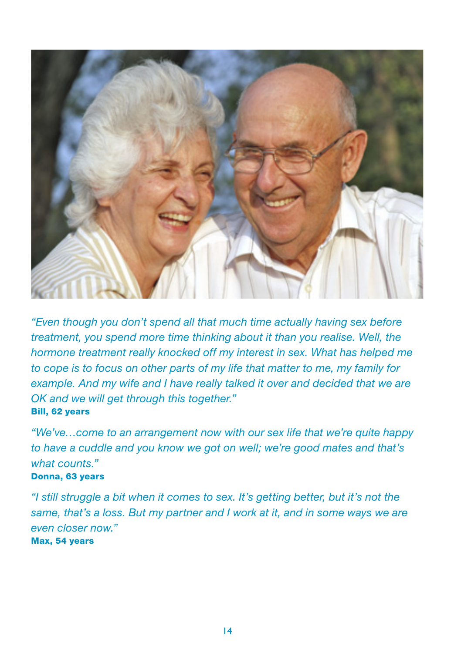

*"Even though you don't spend all that much time actually having sex before treatment, you spend more time thinking about it than you realise. Well, the hormone treatment really knocked off my interest in sex. What has helped me to cope is to focus on other parts of my life that matter to me, my family for*  example. And my wife and I have really talked it over and decided that we are *OK and we will get through this together."* Bill, 62 years

*"We've…come to an arrangement now with our sex life that we're quite happy to have a cuddle and you know we got on well; we're good mates and that's what counts."*  Donna, 63 years

*"I still struggle a bit when it comes to sex. It's getting better, but it's not the same, that's a loss. But my partner and I work at it, and in some ways we are even closer now."* Max, 54 years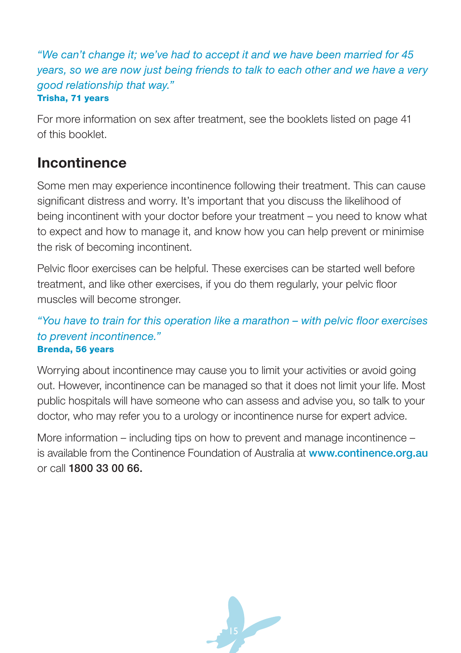*"We can't change it; we've had to accept it and we have been married for 45 years, so we are now just being friends to talk to each other and we have a very good relationship that way."* Trisha, 71 years

For more information on sex after treatment, see the booklets listed on page 41 of this booklet.

### **Incontinence**

Some men may experience incontinence following their treatment. This can cause significant distress and worry. It's important that you discuss the likelihood of being incontinent with your doctor before your treatment – you need to know what to expect and how to manage it, and know how you can help prevent or minimise the risk of becoming incontinent.

Pelvic floor exercises can be helpful. These exercises can be started well before treatment, and like other exercises, if you do them regularly, your pelvic floor muscles will become stronger.

#### *"You have to train for this operation like a marathon – with pelvic floor exercises to prevent incontinence."* Brenda, 56 years

Worrying about incontinence may cause you to limit your activities or avoid going out. However, incontinence can be managed so that it does not limit your life. Most public hospitals will have someone who can assess and advise you, so talk to your doctor, who may refer you to a urology or incontinence nurse for expert advice.

More information – including tips on how to prevent and manage incontinence – is available from the Continence Foundation of Australia at www.continence.org.au or call 1800 33 00 66.

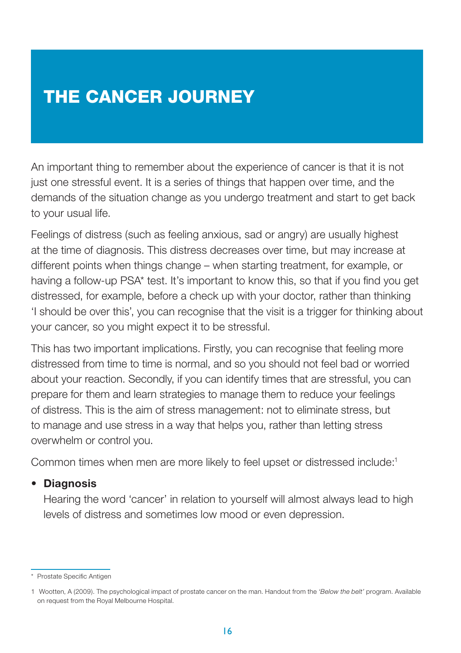## THE CANCER JOURNEY

An important thing to remember about the experience of cancer is that it is not just one stressful event. It is a series of things that happen over time, and the demands of the situation change as you undergo treatment and start to get back to your usual life.

Feelings of distress (such as feeling anxious, sad or angry) are usually highest at the time of diagnosis. This distress decreases over time, but may increase at different points when things change – when starting treatment, for example, or having a follow-up PSA\* test. It's important to know this, so that if you find you get distressed, for example, before a check up with your doctor, rather than thinking 'I should be over this', you can recognise that the visit is a trigger for thinking about your cancer, so you might expect it to be stressful.

This has two important implications. Firstly, you can recognise that feeling more distressed from time to time is normal, and so you should not feel bad or worried about your reaction. Secondly, if you can identify times that are stressful, you can prepare for them and learn strategies to manage them to reduce your feelings of distress. This is the aim of stress management: not to eliminate stress, but to manage and use stress in a way that helps you, rather than letting stress overwhelm or control you.

Common times when men are more likely to feel upset or distressed include:1

#### • **Diagnosis**

Hearing the word 'cancer' in relation to yourself will almost always lead to high levels of distress and sometimes low mood or even depression.

<sup>\*</sup> Prostate Specific Antigen

<sup>1</sup> Wootten, A (2009). The psychological impact of prostate cancer on the man. Handout from the *'Below the belt'* program. Available on request from the Royal Melbourne Hospital.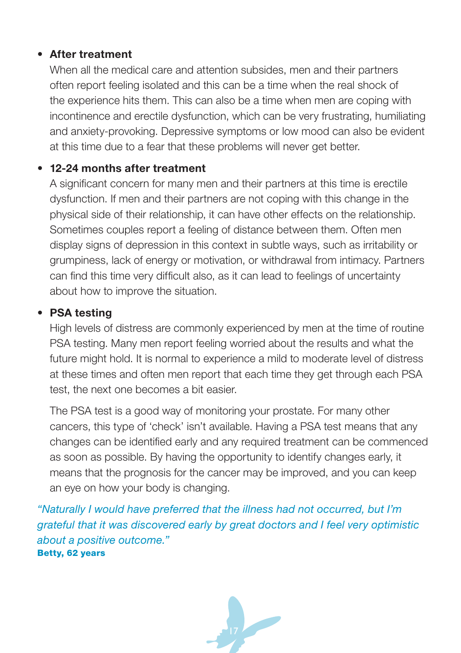#### • **After treatment**

When all the medical care and attention subsides, men and their partners often report feeling isolated and this can be a time when the real shock of the experience hits them. This can also be a time when men are coping with incontinence and erectile dysfunction, which can be very frustrating, humiliating and anxiety-provoking. Depressive symptoms or low mood can also be evident at this time due to a fear that these problems will never get better.

#### • **12-24 months after treatment**

A significant concern for many men and their partners at this time is erectile dysfunction. If men and their partners are not coping with this change in the physical side of their relationship, it can have other effects on the relationship. Sometimes couples report a feeling of distance between them. Often men display signs of depression in this context in subtle ways, such as irritability or grumpiness, lack of energy or motivation, or withdrawal from intimacy. Partners can find this time very difficult also, as it can lead to feelings of uncertainty about how to improve the situation.

#### • **PSA testing**

High levels of distress are commonly experienced by men at the time of routine PSA testing. Many men report feeling worried about the results and what the future might hold. It is normal to experience a mild to moderate level of distress at these times and often men report that each time they get through each PSA test, the next one becomes a bit easier.

The PSA test is a good way of monitoring your prostate. For many other cancers, this type of 'check' isn't available. Having a PSA test means that any changes can be identified early and any required treatment can be commenced as soon as possible. By having the opportunity to identify changes early, it means that the prognosis for the cancer may be improved, and you can keep an eye on how your body is changing.

*"Naturally I would have preferred that the illness had not occurred, but I'm grateful that it was discovered early by great doctors and I feel very optimistic about a positive outcome."* Betty, 62 years

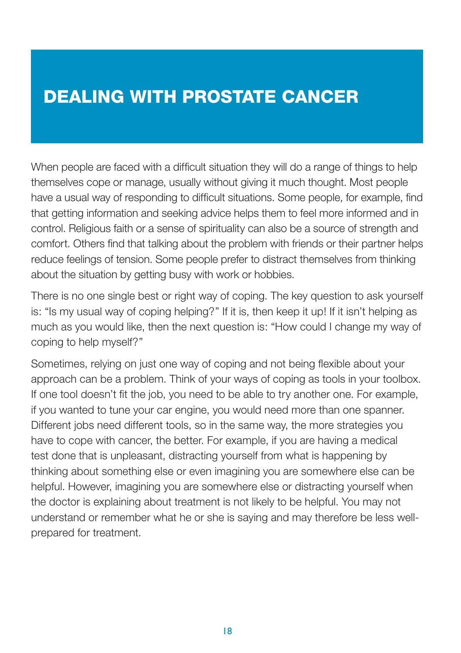## Dealing with prostate cancer

When people are faced with a difficult situation they will do a range of things to help themselves cope or manage, usually without giving it much thought. Most people have a usual way of responding to difficult situations. Some people, for example, find that getting information and seeking advice helps them to feel more informed and in control. Religious faith or a sense of spirituality can also be a source of strength and comfort. Others find that talking about the problem with friends or their partner helps reduce feelings of tension. Some people prefer to distract themselves from thinking about the situation by getting busy with work or hobbies.

There is no one single best or right way of coping. The key question to ask yourself is: "Is my usual way of coping helping?" If it is, then keep it up! If it isn't helping as much as you would like, then the next question is: "How could I change my way of coping to help myself?"

Sometimes, relying on just one way of coping and not being flexible about your approach can be a problem. Think of your ways of coping as tools in your toolbox. If one tool doesn't fit the job, you need to be able to try another one. For example, if you wanted to tune your car engine, you would need more than one spanner. Different jobs need different tools, so in the same way, the more strategies you have to cope with cancer, the better. For example, if you are having a medical test done that is unpleasant, distracting yourself from what is happening by thinking about something else or even imagining you are somewhere else can be helpful. However, imagining you are somewhere else or distracting yourself when the doctor is explaining about treatment is not likely to be helpful. You may not understand or remember what he or she is saying and may therefore be less wellprepared for treatment.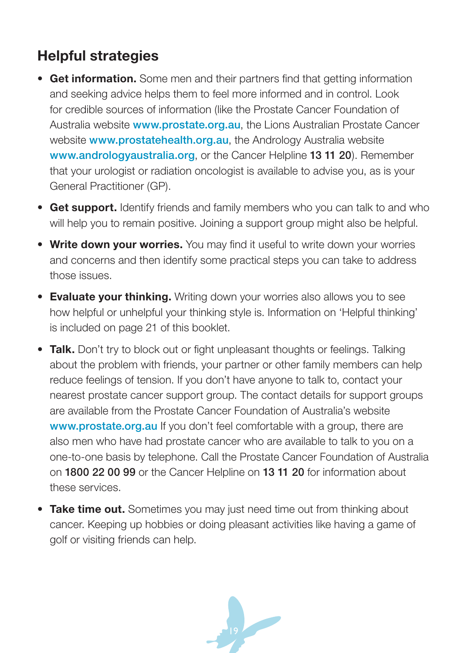### **Helpful strategies**

- **Get information.** Some men and their partners find that getting information and seeking advice helps them to feel more informed and in control. Look for credible sources of information (like the Prostate Cancer Foundation of Australia website www.prostate.org.au, the Lions Australian Prostate Cancer website www.prostatehealth.org.au, the Andrology Australia website www.andrologyaustralia.org, or the Cancer Helpline 13 11 20). Remember that your urologist or radiation oncologist is available to advise you, as is your General Practitioner (GP).
- **Get support.** Identify friends and family members who you can talk to and who will help you to remain positive. Joining a support group might also be helpful.
- **Write down your worries.** You may find it useful to write down your worries and concerns and then identify some practical steps you can take to address those issues.
- **Evaluate your thinking.** Writing down your worries also allows you to see how helpful or unhelpful your thinking style is. Information on 'Helpful thinking' is included on page 21 of this booklet.
- **Talk.** Don't try to block out or fight unpleasant thoughts or feelings. Talking about the problem with friends, your partner or other family members can help reduce feelings of tension. If you don't have anyone to talk to, contact your nearest prostate cancer support group. The contact details for support groups are available from the Prostate Cancer Foundation of Australia's website www.prostate.org.au If you don't feel comfortable with a group, there are also men who have had prostate cancer who are available to talk to you on a one-to-one basis by telephone. Call the Prostate Cancer Foundation of Australia on 1800 22 00 99 or the Cancer Helpline on 13 11 20 for information about these services.
- **Take time out.** Sometimes you may just need time out from thinking about cancer. Keeping up hobbies or doing pleasant activities like having a game of golf or visiting friends can help.

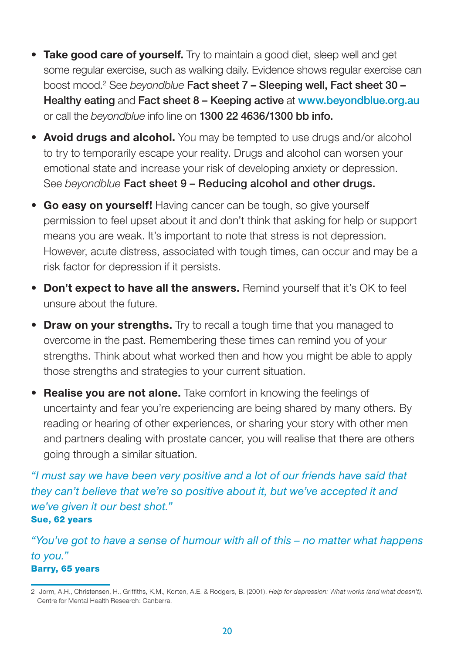- **Take good care of yourself.** Try to maintain a good diet, sleep well and get some regular exercise, such as walking daily. Evidence shows regular exercise can boost mood.2 See *beyondblue* Fact sheet 7 – Sleeping well, Fact sheet 30 – Healthy eating and Fact sheet 8 – Keeping active at www.beyondblue.org.au or call the *beyondblue* info line on 1300 22 4636/1300 bb info.
- **Avoid drugs and alcohol.** You may be tempted to use drugs and/or alcohol to try to temporarily escape your reality. Drugs and alcohol can worsen your emotional state and increase your risk of developing anxiety or depression. See *beyondblue* Fact sheet 9 – Reducing alcohol and other drugs.
- **Go easy on yourself!** Having cancer can be tough, so give yourself permission to feel upset about it and don't think that asking for help or support means you are weak. It's important to note that stress is not depression. However, acute distress, associated with tough times, can occur and may be a risk factor for depression if it persists.
- • **Don't expect to have all the answers.** Remind yourself that it's OK to feel unsure about the future.
- **Draw on your strengths.** Try to recall a tough time that you managed to overcome in the past. Remembering these times can remind you of your strengths. Think about what worked then and how you might be able to apply those strengths and strategies to your current situation.
- **Realise you are not alone.** Take comfort in knowing the feelings of uncertainty and fear you're experiencing are being shared by many others. By reading or hearing of other experiences, or sharing your story with other men and partners dealing with prostate cancer, you will realise that there are others going through a similar situation.

*"I must say we have been very positive and a lot of our friends have said that they can't believe that we're so positive about it, but we've accepted it and we've given it our best shot."* Sue, 62 years

*"You've got to have a sense of humour with all of this – no matter what happens to you."* Barry, 65 years

<sup>2</sup> Jorm, A.H., Christensen, H., Griffiths, K.M., Korten, A.E. & Rodgers, B. (2001). *Help for depression: What works (and what doesn't).* Centre for Mental Health Research: Canberra.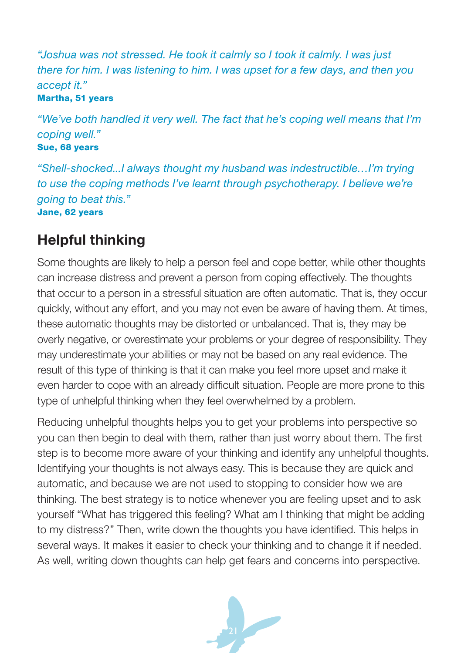*"Joshua was not stressed. He took it calmly so I took it calmly. I was just there for him. I was listening to him. I was upset for a few days, and then you accept it."* Martha, 51 years

*"We've both handled it very well. The fact that he's coping well means that I'm coping well."* Sue, 68 years

*"Shell-shocked...I always thought my husband was indestructible…I'm trying to use the coping methods I've learnt through psychotherapy. I believe we're going to beat this."* Jane, 62 years

### **Helpful thinking**

Some thoughts are likely to help a person feel and cope better, while other thoughts can increase distress and prevent a person from coping effectively. The thoughts that occur to a person in a stressful situation are often automatic. That is, they occur quickly, without any effort, and you may not even be aware of having them. At times, these automatic thoughts may be distorted or unbalanced. That is, they may be overly negative, or overestimate your problems or your degree of responsibility. They may underestimate your abilities or may not be based on any real evidence. The result of this type of thinking is that it can make you feel more upset and make it even harder to cope with an already difficult situation. People are more prone to this type of unhelpful thinking when they feel overwhelmed by a problem.

Reducing unhelpful thoughts helps you to get your problems into perspective so you can then begin to deal with them, rather than just worry about them. The first step is to become more aware of your thinking and identify any unhelpful thoughts. Identifying your thoughts is not always easy. This is because they are quick and automatic, and because we are not used to stopping to consider how we are thinking. The best strategy is to notice whenever you are feeling upset and to ask yourself "What has triggered this feeling? What am I thinking that might be adding to my distress?" Then, write down the thoughts you have identified. This helps in several ways. It makes it easier to check your thinking and to change it if needed. As well, writing down thoughts can help get fears and concerns into perspective.

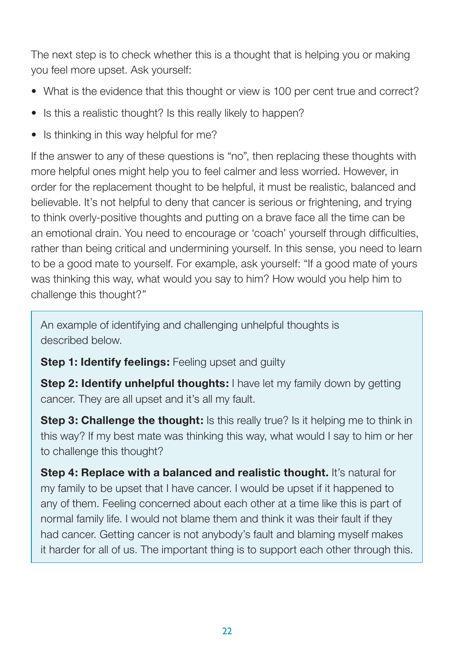The next step is to check whether this is a thought that is helping you or making you feel more upset. Ask yourself:

- What is the evidence that this thought or view is 100 per cent true and correct?
- Is this a realistic thought? Is this really likely to happen?
- Is thinking in this way helpful for me?

If the answer to any of these questions is "no", then replacing these thoughts with more helpful ones might help you to feel calmer and less worried. However, in order for the replacement thought to be helpful, it must be realistic, balanced and believable. It's not helpful to deny that cancer is serious or frightening, and trying to think overly-positive thoughts and putting on a brave face all the time can be an emotional drain. You need to encourage or 'coach' yourself through difficulties, rather than being critical and undermining yourself. In this sense, you need to learn to be a good mate to yourself. For example, ask yourself: "If a good mate of yours was thinking this way, what would you say to him? How would you help him to challenge this thought?"

An example of identifying and challenging unhelpful thoughts is described below.

**Step 1: Identify feelings:** Feeling upset and quilty

**Step 2: Identify unhelpful thoughts:** I have let my family down by getting cancer. They are all upset and it's all my fault.

**Step 3: Challenge the thought:** Is this really true? Is it helping me to think in this way? If my best mate was thinking this way, what would I say to him or her to challenge this thought?

**Step 4: Replace with a balanced and realistic thought.** It's natural for my family to be upset that I have cancer. I would be upset if it happened to any of them. Feeling concerned about each other at a time like this is part of normal family life. I would not blame them and think it was their fault if they had cancer. Getting cancer is not anybody's fault and blaming myself makes it harder for all of us. The important thing is to support each other through this.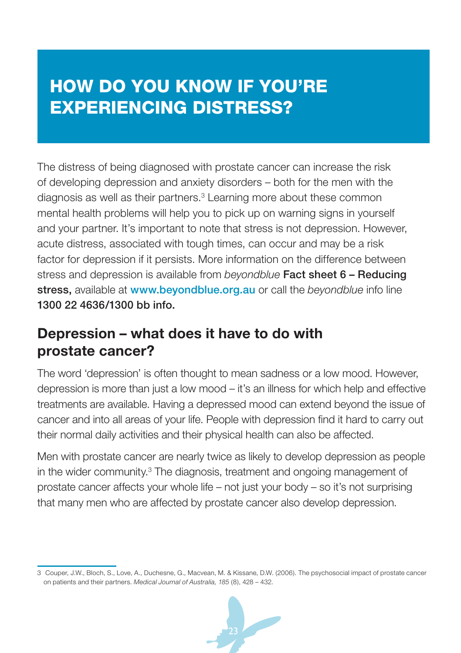## How do you know if you're experiencing distress?

The distress of being diagnosed with prostate cancer can increase the risk of developing depression and anxiety disorders – both for the men with the diagnosis as well as their partners.<sup>3</sup> Learning more about these common mental health problems will help you to pick up on warning signs in yourself and your partner. It's important to note that stress is not depression. However, acute distress, associated with tough times, can occur and may be a risk factor for depression if it persists. More information on the difference between stress and depression is available from *beyondblue* Fact sheet 6 – Reducing stress, available at www.beyondblue.org.au or call the *beyondblue* info line 1300 22 4636/1300 bb info.

### **Depression – what does it have to do with prostate cancer?**

The word 'depression' is often thought to mean sadness or a low mood. However, depression is more than just a low mood – it's an illness for which help and effective treatments are available. Having a depressed mood can extend beyond the issue of cancer and into all areas of your life. People with depression find it hard to carry out their normal daily activities and their physical health can also be affected.

Men with prostate cancer are nearly twice as likely to develop depression as people in the wider community.<sup>3</sup> The diagnosis, treatment and ongoing management of prostate cancer affects your whole life – not just your body – so it's not surprising that many men who are affected by prostate cancer also develop depression.

<sup>3</sup> Couper, J.W., Bloch, S., Love, A., Duchesne, G., Macvean, M. & Kissane, D.W. (2006). The psychosocial impact of prostate cancer on patients and their partners. *Medical Journal of Australia, 185* (8), 428 – 432.

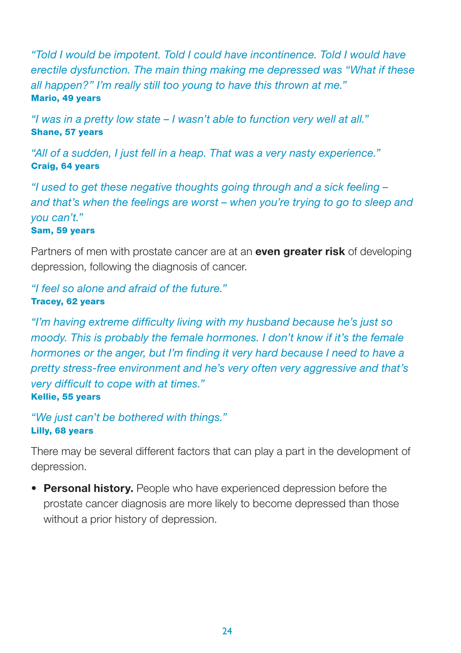*"Told I would be impotent. Told I could have incontinence. Told I would have erectile dysfunction. The main thing making me depressed was "What if these all happen?" I'm really still too young to have this thrown at me."* Mario, 49 years

*"I was in a pretty low state – I wasn't able to function very well at all."* Shane, 57 years

*"All of a sudden, I just fell in a heap. That was a very nasty experience."* Craig, 64 years

*"I used to get these negative thoughts going through and a sick feeling – and that's when the feelings are worst – when you're trying to go to sleep and you can't."* Sam, 59 years

Partners of men with prostate cancer are at an **even greater risk** of developing depression, following the diagnosis of cancer.

*"I feel so alone and afraid of the future."* Tracey, 62 years

*"I'm having extreme difficulty living with my husband because he's just so moody. This is probably the female hormones. I don't know if it's the female hormones or the anger, but I'm finding it very hard because I need to have a pretty stress-free environment and he's very often very aggressive and that's very difficult to cope with at times."* Kellie, 55 years

*"We just can't be bothered with things."* Lilly, 68 years

There may be several different factors that can play a part in the development of depression.

• **Personal history.** People who have experienced depression before the prostate cancer diagnosis are more likely to become depressed than those without a prior history of depression.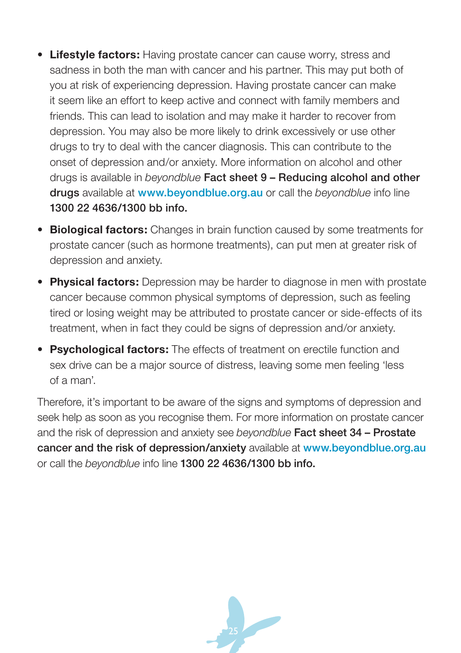- • **Lifestyle factors:** Having prostate cancer can cause worry, stress and sadness in both the man with cancer and his partner. This may put both of you at risk of experiencing depression. Having prostate cancer can make it seem like an effort to keep active and connect with family members and friends. This can lead to isolation and may make it harder to recover from depression. You may also be more likely to drink excessively or use other drugs to try to deal with the cancer diagnosis. This can contribute to the onset of depression and/or anxiety. More information on alcohol and other drugs is available in *beyondblue* Fact sheet 9 – Reducing alcohol and other drugs available at www.beyondblue.org.au or call the *beyondblue* info line 1300 22 4636/1300 bb info.
- • **Biological factors:** Changes in brain function caused by some treatments for prostate cancer (such as hormone treatments), can put men at greater risk of depression and anxiety.
- **Physical factors:** Depression may be harder to diagnose in men with prostate cancer because common physical symptoms of depression, such as feeling tired or losing weight may be attributed to prostate cancer or side-effects of its treatment, when in fact they could be signs of depression and/or anxiety.
- **Psychological factors:** The effects of treatment on erectile function and sex drive can be a major source of distress, leaving some men feeling 'less of a man'.

Therefore, it's important to be aware of the signs and symptoms of depression and seek help as soon as you recognise them. For more information on prostate cancer and the risk of depression and anxiety see *beyondblue* Fact sheet 34 – Prostate cancer and the risk of depression/anxiety available at www.beyondblue.org.au or call the *beyondblue* info line 1300 22 4636/1300 bb info.

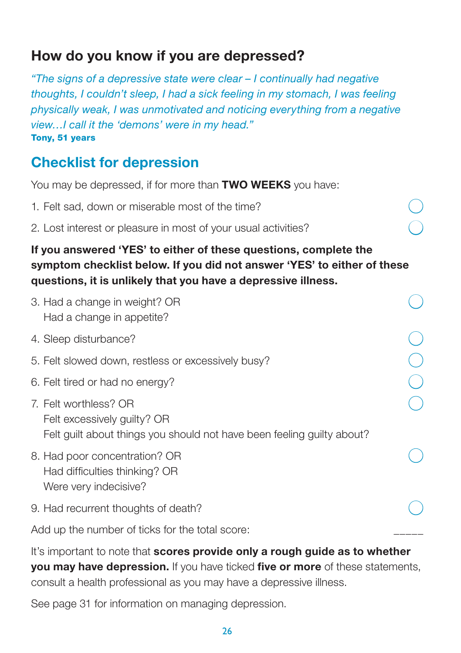### **How do you know if you are depressed?**

*"The signs of a depressive state were clear – I continually had negative thoughts, I couldn't sleep, I had a sick feeling in my stomach, I was feeling physically weak, I was unmotivated and noticing everything from a negative view…I call it the 'demons' were in my head."* Tony, 51 years

### **Checklist for depression**

You may be depressed, if for more than **TWO WEEKS** you have:

- 1. Felt sad, down or miserable most of the time?
- 2. Lost interest or pleasure in most of your usual activities?

### **If you answered 'YES' to either of these questions, complete the symptom checklist below. If you did not answer 'YES' to either of these questions, it is unlikely that you have a depressive illness.**

| 3. Had a change in weight? OR<br>Had a change in appetite?                                                                     |  |
|--------------------------------------------------------------------------------------------------------------------------------|--|
| 4. Sleep disturbance?                                                                                                          |  |
| 5. Felt slowed down, restless or excessively busy?                                                                             |  |
| 6. Felt tired or had no energy?                                                                                                |  |
| 7. Felt worthless? OR<br>Felt excessively guilty? OR<br>Felt guilt about things you should not have been feeling guilty about? |  |
| 8. Had poor concentration? OR<br>Had difficulties thinking? OR<br>Were very indecisive?                                        |  |
| 9. Had recurrent thoughts of death?                                                                                            |  |
| Add up the number of ticks for the total score:                                                                                |  |
|                                                                                                                                |  |

It's important to note that **scores provide only a rough guide as to whether you may have depression.** If you have ticked **five or more** of these statements, consult a health professional as you may have a depressive illness.

See page 31 for information on managing depression.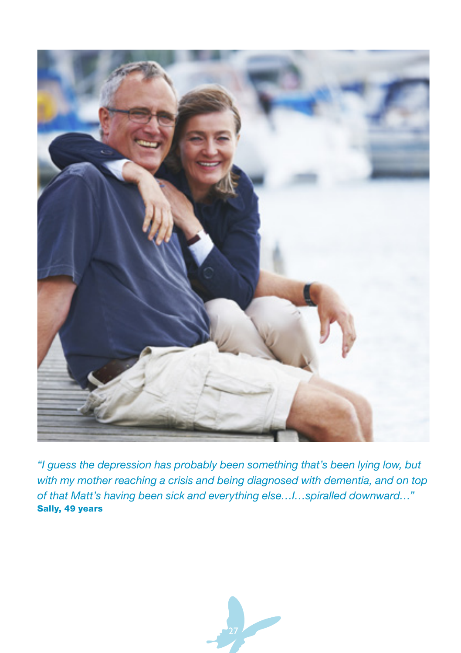

*"I guess the depression has probably been something that's been lying low, but with my mother reaching a crisis and being diagnosed with dementia, and on top of that Matt's having been sick and everything else…I…spiralled downward…"* Sally, 49 years

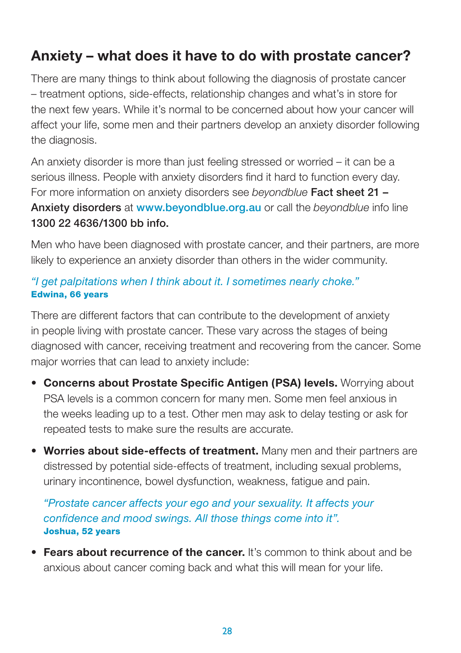### **Anxiety – what does it have to do with prostate cancer?**

There are many things to think about following the diagnosis of prostate cancer – treatment options, side-effects, relationship changes and what's in store for the next few years. While it's normal to be concerned about how your cancer will affect your life, some men and their partners develop an anxiety disorder following the diagnosis.

An anxiety disorder is more than just feeling stressed or worried – it can be a serious illness. People with anxiety disorders find it hard to function every day. For more information on anxiety disorders see *beyondblue* Fact sheet 21 – Anxiety disorders at www.beyondblue.org.au or call the *beyondblue* info line 1300 22 4636/1300 bb info.

Men who have been diagnosed with prostate cancer, and their partners, are more likely to experience an anxiety disorder than others in the wider community.

#### *"I get palpitations when I think about it. I sometimes nearly choke."* Edwina, 66 years

There are different factors that can contribute to the development of anxiety in people living with prostate cancer. These vary across the stages of being diagnosed with cancer, receiving treatment and recovering from the cancer. Some major worries that can lead to anxiety include:

- • **Concerns about Prostate Specific Antigen (PSA) levels.** Worrying about PSA levels is a common concern for many men. Some men feel anxious in the weeks leading up to a test. Other men may ask to delay testing or ask for repeated tests to make sure the results are accurate.
- • **Worries about side-effects of treatment.** Many men and their partners are distressed by potential side-effects of treatment, including sexual problems, urinary incontinence, bowel dysfunction, weakness, fatigue and pain.

*"Prostate cancer affects your ego and your sexuality. It affects your confidence and mood swings. All those things come into it".* Joshua, 52 years

• **Fears about recurrence of the cancer.** It's common to think about and be anxious about cancer coming back and what this will mean for your life.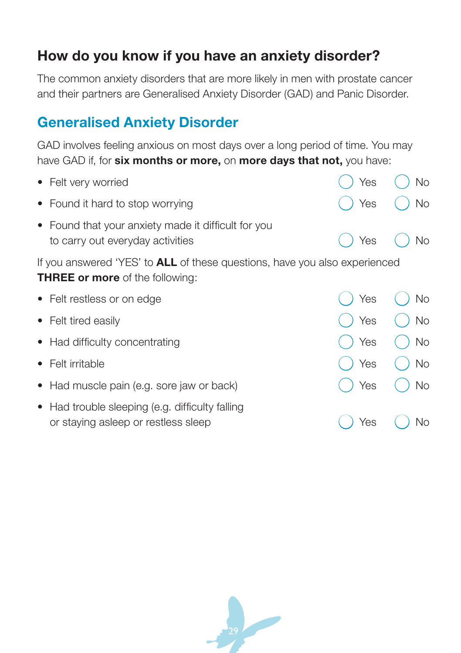### **How do you know if you have an anxiety disorder?**

The common anxiety disorders that are more likely in men with prostate cancer and their partners are Generalised Anxiety Disorder (GAD) and Panic Disorder.

### **Generalised Anxiety Disorder**

GAD involves feeling anxious on most days over a long period of time. You may have GAD if, for **six months or more,** on **more days that not,** you have:

| • Felt very worried                                                                                                  | Yes | Νo        |
|----------------------------------------------------------------------------------------------------------------------|-----|-----------|
| • Found it hard to stop worrying                                                                                     | Yes | No        |
| • Found that your anxiety made it difficult for you<br>to carry out everyday activities                              | Yes | <b>No</b> |
| If you answered 'YES' to ALL of these questions, have you also experienced<br><b>THREE or more</b> of the following: |     |           |
| • Felt restless or on edge                                                                                           | Yes | No        |
| • Felt tired easily                                                                                                  | Yes | No        |
| • Had difficulty concentrating                                                                                       | Yes | <b>No</b> |
| • Felt irritable                                                                                                     | Yes | No        |
| • Had muscle pain (e.g. sore jaw or back)                                                                            | Yes | No        |
| • Had trouble sleeping (e.g. difficulty falling<br>or staying asleep or restless sleep                               | Yes | Νo        |

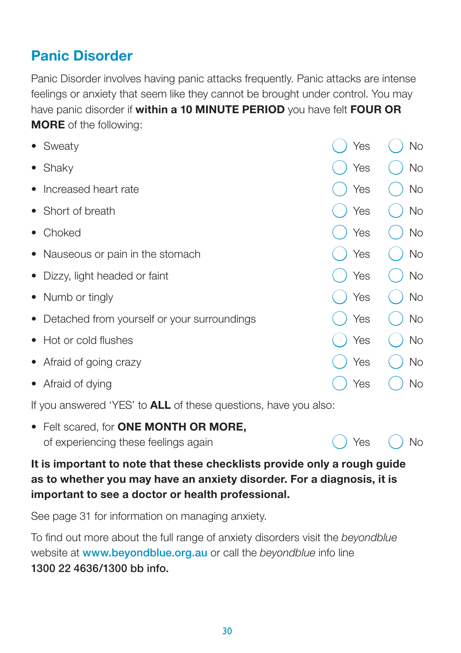### **Panic Disorder**

Panic Disorder involves having panic attacks frequently. Panic attacks are intense feelings or anxiety that seem like they cannot be brought under control. You may have panic disorder if **within a 10 MINUTE PERIOD** you have felt **FOUR OR MORE** of the following:

| • Sweaty                                                               | Yes | No        |
|------------------------------------------------------------------------|-----|-----------|
| Shaky<br>$\bullet$                                                     | Yes | <b>No</b> |
| Increased heart rate                                                   | Yes | <b>No</b> |
| • Short of breath                                                      | Yes | No        |
| Choked                                                                 | Yes | No        |
| • Nauseous or pain in the stomach                                      | Yes | No        |
| • Dizzy, light headed or faint                                         | Yes | No        |
| • Numb or tingly                                                       | Yes | <b>No</b> |
| Detached from yourself or your surroundings                            | Yes | <b>No</b> |
| Hot or cold flushes<br>$\bullet$                                       | Yes | <b>No</b> |
| • Afraid of going crazy                                                | Yes | <b>No</b> |
| • Afraid of dying                                                      | Yes | <b>No</b> |
| If you answered 'YES' to <b>ALL</b> of these questions, have you also: |     |           |

• Felt scared, for **ONE MONTH OR MORE,** of experiencing these feelings again  $\overline{a}$  ( ) Yes  $\overline{a}$  No

### **It is important to note that these checklists provide only a rough guide as to whether you may have an anxiety disorder. For a diagnosis, it is important to see a doctor or health professional.**

See page 31 for information on managing anxiety.

To find out more about the full range of anxiety disorders visit the *beyondblue* website at www.beyondblue.org.au or call the *beyondblue* info line 1300 22 4636/1300 bb info.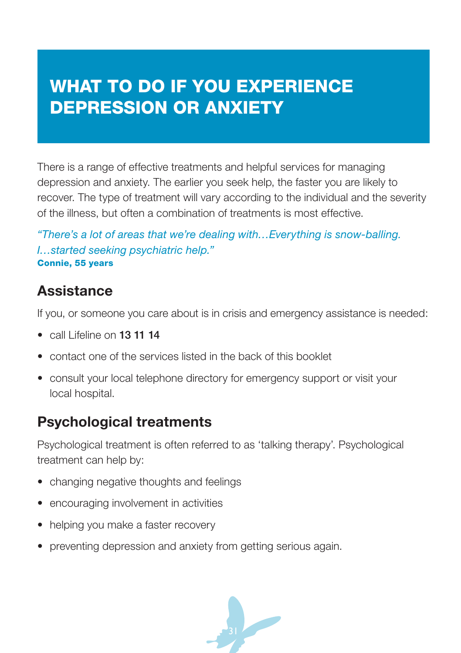## WHAT TO DO IF YOU EXPERIENCE depression or anxiety

There is a range of effective treatments and helpful services for managing depression and anxiety. The earlier you seek help, the faster you are likely to recover. The type of treatment will vary according to the individual and the severity of the illness, but often a combination of treatments is most effective.

*"There's a lot of areas that we're dealing with…Everything is snow-balling. I…started seeking psychiatric help."* Connie, 55 years

### **Assistance**

If you, or someone you care about is in crisis and emergency assistance is needed:

- call Lifeline on **13 11 14**
- contact one of the services listed in the back of this booklet
- consult your local telephone directory for emergency support or visit your local hospital.

### **Psychological treatments**

Psychological treatment is often referred to as 'talking therapy'. Psychological treatment can help by:

- changing negative thoughts and feelings
- encouraging involvement in activities
- helping you make a faster recovery
- preventing depression and anxiety from getting serious again.

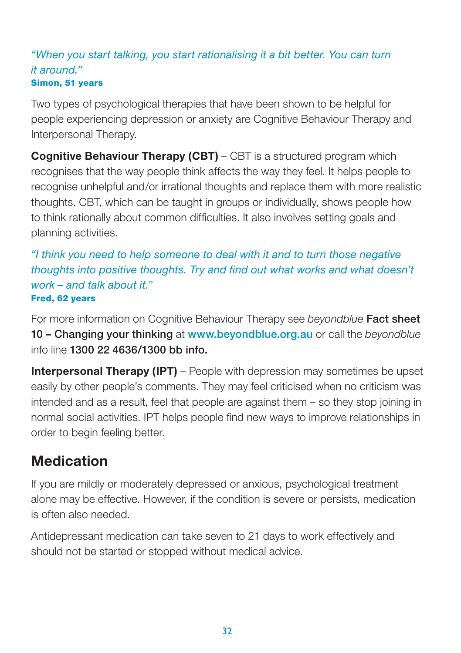#### *"When you start talking, you start rationalising it a bit better. You can turn it around."* Simon, 51 years

Two types of psychological therapies that have been shown to be helpful for people experiencing depression or anxiety are Cognitive Behaviour Therapy and Interpersonal Therapy.

**Cognitive Behaviour Therapy (CBT)** – CBT is a structured program which recognises that the way people think affects the way they feel. It helps people to recognise unhelpful and/or irrational thoughts and replace them with more realistic thoughts. CBT, which can be taught in groups or individually, shows people how to think rationally about common difficulties. It also involves setting goals and planning activities.

*"I think you need to help someone to deal with it and to turn those negative thoughts into positive thoughts. Try and find out what works and what doesn't work – and talk about it."* Fred, 62 years

For more information on Cognitive Behaviour Therapy see *beyondblue* Fact sheet 10 – Changing your thinking at www.beyondblue.org.au or call the *beyondblue* info line 1300 22 4636/1300 bb info.

**Interpersonal Therapy (IPT)** – People with depression may sometimes be upset easily by other people's comments. They may feel criticised when no criticism was intended and as a result, feel that people are against them – so they stop joining in normal social activities. IPT helps people find new ways to improve relationships in order to begin feeling better.

### **Medication**

If you are mildly or moderately depressed or anxious, psychological treatment alone may be effective. However, if the condition is severe or persists, medication is often also needed.

Antidepressant medication can take seven to 21 days to work effectively and should not be started or stopped without medical advice.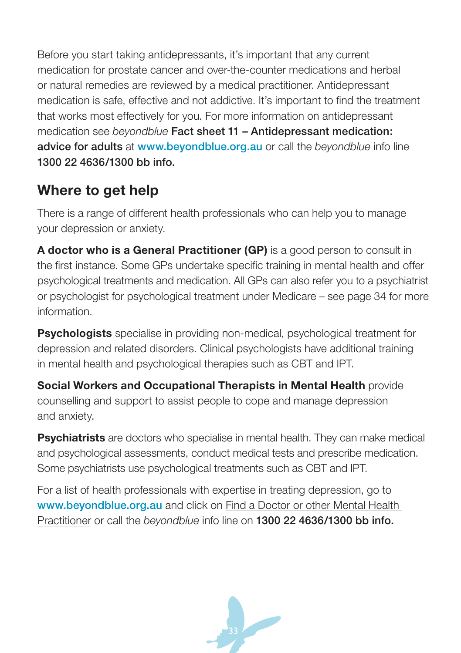Before you start taking antidepressants, it's important that any current medication for prostate cancer and over-the-counter medications and herbal or natural remedies are reviewed by a medical practitioner. Antidepressant medication is safe, effective and not addictive. It's important to find the treatment that works most effectively for you. For more information on antidepressant medication see *beyondblue* Fact sheet 11 – Antidepressant medication: advice for adults at www.beyondblue.org.au or call the *beyondblue* info line 1300 22 4636/1300 bb info.

### **Where to get help**

There is a range of different health professionals who can help you to manage your depression or anxiety.

**A doctor who is a General Practitioner (GP)** is a good person to consult in the first instance. Some GPs undertake specific training in mental health and offer psychological treatments and medication. All GPs can also refer you to a psychiatrist or psychologist for psychological treatment under Medicare – see page 34 for more information.

**Psychologists** specialise in providing non-medical, psychological treatment for depression and related disorders. Clinical psychologists have additional training in mental health and psychological therapies such as CBT and IPT.

**Social Workers and Occupational Therapists in Mental Health** provide counselling and support to assist people to cope and manage depression and anxiety.

**Psychiatrists** are doctors who specialise in mental health. They can make medical and psychological assessments, conduct medical tests and prescribe medication. Some psychiatrists use psychological treatments such as CBT and IPT.

For a list of health professionals with expertise in treating depression, go to www.beyondblue.org.au and click on Find a Doctor or other Mental Health Practitioner or call the *beyondblue* info line on 1300 22 4636/1300 bb info.

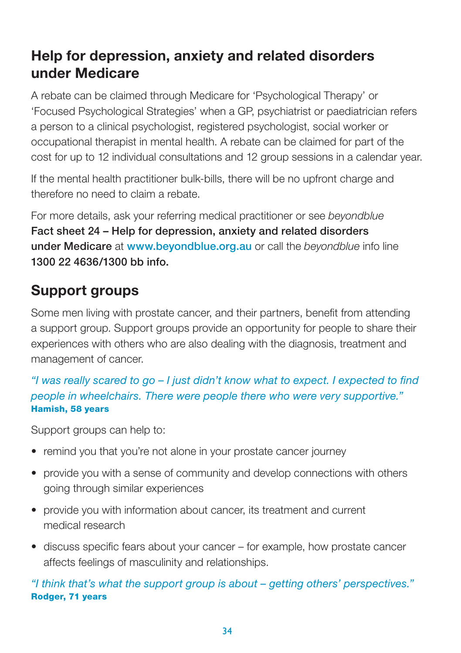### **Help for depression, anxiety and related disorders under Medicare**

A rebate can be claimed through Medicare for 'Psychological Therapy' or 'Focused Psychological Strategies' when a GP, psychiatrist or paediatrician refers a person to a clinical psychologist, registered psychologist, social worker or occupational therapist in mental health. A rebate can be claimed for part of the cost for up to 12 individual consultations and 12 group sessions in a calendar year.

If the mental health practitioner bulk-bills, there will be no upfront charge and therefore no need to claim a rebate.

For more details, ask your referring medical practitioner or see *beyondblue* Fact sheet 24 – Help for depression, anxiety and related disorders under Medicare at www.beyondblue.org.au or call the *beyondblue* info line 1300 22 4636/1300 bb info.

### **Support groups**

Some men living with prostate cancer, and their partners, benefit from attending a support group. Support groups provide an opportunity for people to share their experiences with others who are also dealing with the diagnosis, treatment and management of cancer.

### *"I was really scared to go – I just didn't know what to expect. I expected to find people in wheelchairs. There were people there who were very supportive."* Hamish, 58 years

Support groups can help to:

- remind you that you're not alone in your prostate cancer journey
- provide you with a sense of community and develop connections with others going through similar experiences
- provide you with information about cancer, its treatment and current medical research
- discuss specific fears about your cancer for example, how prostate cancer affects feelings of masculinity and relationships.

*"I think that's what the support group is about – getting others' perspectives."* Rodger, 71 years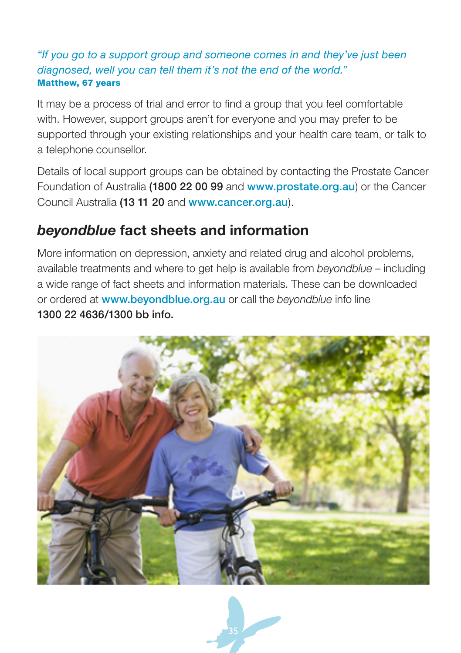### *"If you go to a support group and someone comes in and they've just been diagnosed, well you can tell them it's not the end of the world."* Matthew, 67 years

It may be a process of trial and error to find a group that you feel comfortable with. However, support groups aren't for everyone and you may prefer to be supported through your existing relationships and your health care team, or talk to a telephone counsellor.

Details of local support groups can be obtained by contacting the Prostate Cancer Foundation of Australia (1800 22 00 99 and www.prostate.org.au) or the Cancer Council Australia (13 11 20 and www.cancer.org.au).

### *beyondblue* **fact sheets and information**

More information on depression, anxiety and related drug and alcohol problems, available treatments and where to get help is available from *beyondblue* – including a wide range of fact sheets and information materials. These can be downloaded or ordered at www.beyondblue.org.au or call the *beyondblue* info line 1300 22 4636/1300 bb info.



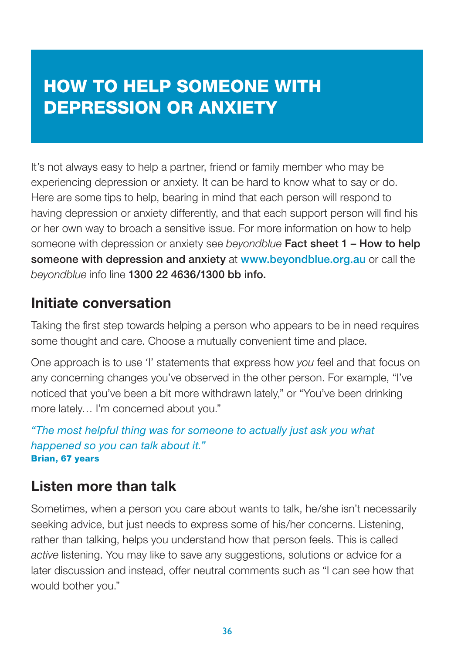## How to help someone with depression or anxiety

It's not always easy to help a partner, friend or family member who may be experiencing depression or anxiety. It can be hard to know what to say or do. Here are some tips to help, bearing in mind that each person will respond to having depression or anxiety differently, and that each support person will find his or her own way to broach a sensitive issue. For more information on how to help someone with depression or anxiety see *beyondblue* Fact sheet 1 – How to help someone with depression and anxiety at www.beyondblue.org.au or call the *beyondblue* info line 1300 22 4636/1300 bb info.

### **Initiate conversation**

Taking the first step towards helping a person who appears to be in need requires some thought and care. Choose a mutually convenient time and place.

One approach is to use 'I' statements that express how *you* feel and that focus on any concerning changes you've observed in the other person. For example, "I've noticed that you've been a bit more withdrawn lately," or "You've been drinking more lately… I'm concerned about you."

*"The most helpful thing was for someone to actually just ask you what happened so you can talk about it."* Brian, 67 years

### **Listen more than talk**

Sometimes, when a person you care about wants to talk, he/she isn't necessarily seeking advice, but just needs to express some of his/her concerns. Listening, rather than talking, helps you understand how that person feels. This is called *active* listening. You may like to save any suggestions, solutions or advice for a later discussion and instead, offer neutral comments such as "I can see how that would bother you."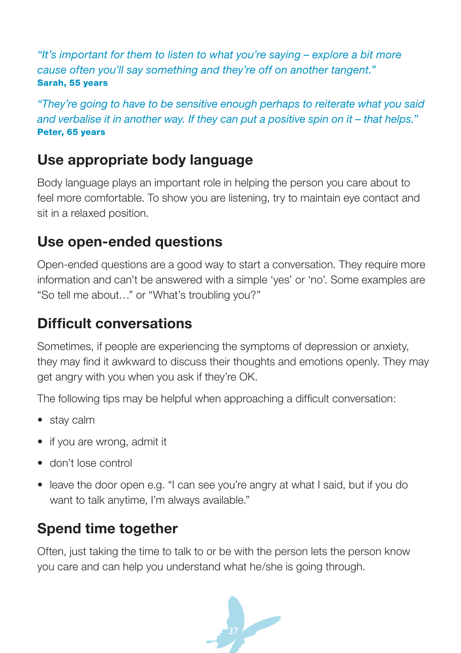*"It's important for them to listen to what you're saying – explore a bit more cause often you'll say something and they're off on another tangent."* Sarah, 55 years

*"They're going to have to be sensitive enough perhaps to reiterate what you said and verbalise it in another way. If they can put a positive spin on it – that helps."* Peter, 65 years

### **Use appropriate body language**

Body language plays an important role in helping the person you care about to feel more comfortable. To show you are listening, try to maintain eye contact and sit in a relaxed position.

### **Use open-ended questions**

Open-ended questions are a good way to start a conversation. They require more information and can't be answered with a simple 'yes' or 'no'. Some examples are "So tell me about…" or "What's troubling you?"

### **Difficult conversations**

Sometimes, if people are experiencing the symptoms of depression or anxiety, they may find it awkward to discuss their thoughts and emotions openly. They may get angry with you when you ask if they're OK.

The following tips may be helpful when approaching a difficult conversation:

- stav calm
- if you are wrong, admit it
- • don't lose control
- leave the door open e.g. "I can see you're angry at what I said, but if you do want to talk anytime, I'm always available."

### **Spend time together**

Often, just taking the time to talk to or be with the person lets the person know you care and can help you understand what he/she is going through.

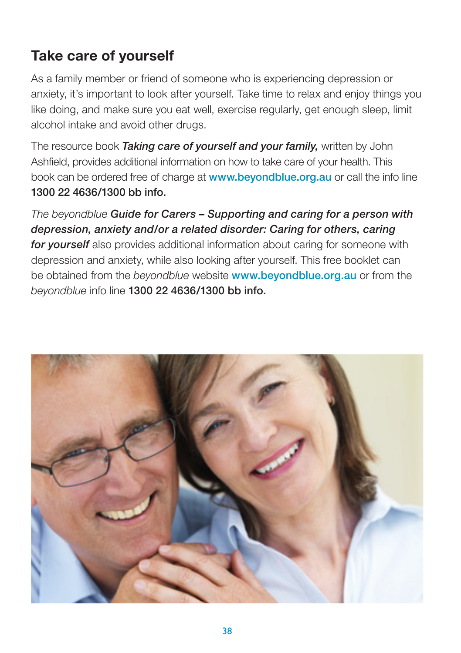### **Take care of yourself**

As a family member or friend of someone who is experiencing depression or anxiety, it's important to look after yourself. Take time to relax and enjoy things you like doing, and make sure you eat well, exercise regularly, get enough sleep, limit alcohol intake and avoid other drugs.

The resource book *Taking care of yourself and your family,* written by John Ashfield, provides additional information on how to take care of your health. This book can be ordered free of charge at www.beyondblue.org.au or call the info line 1300 22 4636/1300 bb info.

*The beyondblue Guide for Carers – Supporting and caring for a person with depression, anxiety and/or a related disorder: Caring for others, caring for yourself* also provides additional information about caring for someone with depression and anxiety, while also looking after yourself. This free booklet can be obtained from the *beyondblue* website www.beyondblue.org.au or from the *beyondblue* info line 1300 22 4636/1300 bb info.

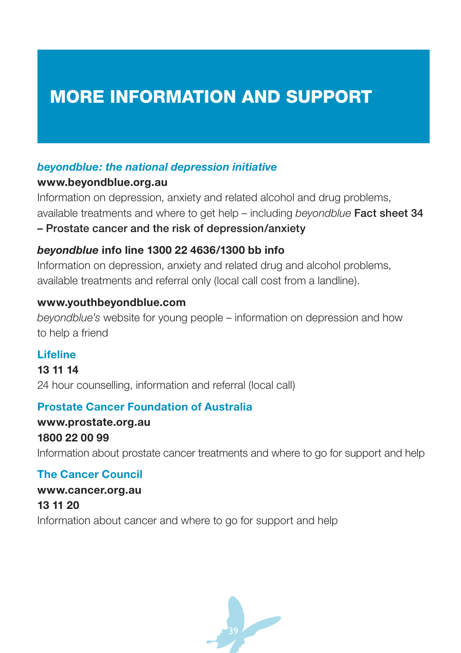## More information and support

#### *beyondblue: the national depression initiative*

#### **www.beyondblue.org.au**

Information on depression, anxiety and related alcohol and drug problems, available treatments and where to get help – including *beyondblue* Fact sheet 34

### – Prostate cancer and the risk of depression/anxiety

### *beyondblue* **info line 1300 22 4636/1300 bb info**

Information on depression, anxiety and related drug and alcohol problems, available treatments and referral only (local call cost from a landline).

#### **www.youthbeyondblue.com**

*beyondblue's* website for young people – information on depression and how to help a friend

#### **Lifeline**

#### **13 11 14**

24 hour counselling, information and referral (local call)

### **Prostate Cancer Foundation of Australia**

### **www.prostate.org.au 1800 22 00 99** Information about prostate cancer treatments and where to go for support and help

### **The Cancer Council**

### **www.cancer.org.au 13 11 20** Information about cancer and where to go for support and help

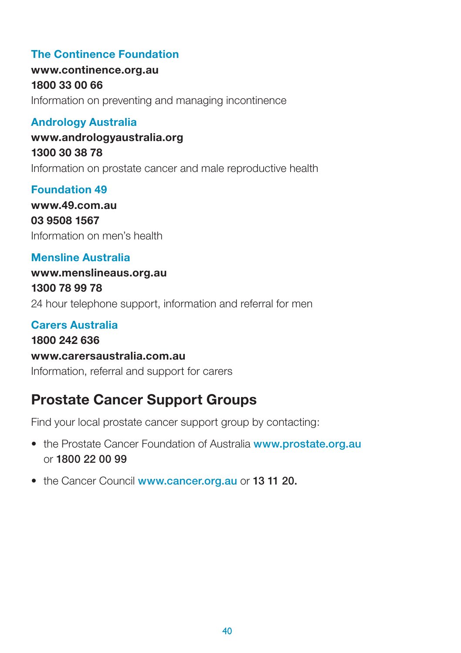### **The Continence Foundation**

**www.continence.org.au 1800 33 00 66** Information on preventing and managing incontinence

#### **Andrology Australia**

**www.andrologyaustralia.org 1300 30 38 78** Information on prostate cancer and male reproductive health

#### **Foundation 49**

**www.49.com.au 03 9508 1567** Information on men's health

#### **Mensline Australia**

**www.menslineaus.org.au 1300 78 99 78** 24 hour telephone support, information and referral for men

#### **Carers Australia**

**1800 242 636 www.carersaustralia.com.au** Information, referral and support for carers

### **Prostate Cancer Support Groups**

Find your local prostate cancer support group by contacting:

- the Prostate Cancer Foundation of Australia www.prostate.org.au or 1800 22 00 99
- the Cancer Council www.cancer.org.au or 13 11 20.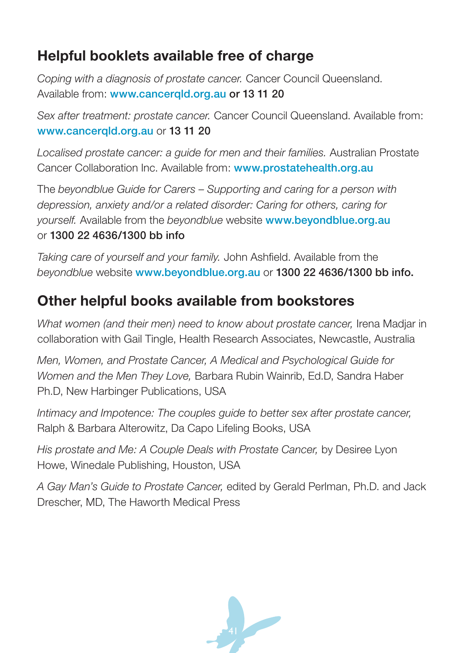### **Helpful booklets available free of charge**

*Coping with a diagnosis of prostate cancer.* Cancer Council Queensland. Available from: www.cancerqld.org.au or 13 11 20

*Sex after treatment: prostate cancer.* Cancer Council Queensland. Available from: www.cancerqld.org.au or 13 11 20

*Localised prostate cancer: a guide for men and their families.* Australian Prostate Cancer Collaboration Inc. Available from: www.prostatehealth.org.au

The *beyondblue Guide for Carers – Supporting and caring for a person with depression, anxiety and/or a related disorder: Caring for others, caring for yourself.* Available from the *beyondblue* website www.beyondblue.org.au or 1300 22 4636/1300 bb info

*Taking care of yourself and your family.* John Ashfield. Available from the *beyondblue* website www.beyondblue.org.au or 1300 22 4636/1300 bb info.

### **Other helpful books available from bookstores**

*What women (and their men) need to know about prostate cancer,* Irena Madjar in collaboration with Gail Tingle, Health Research Associates, Newcastle, Australia

*Men, Women, and Prostate Cancer, A Medical and Psychological Guide for Women and the Men They Love,* Barbara Rubin Wainrib, Ed.D, Sandra Haber Ph.D, New Harbinger Publications, USA

*Intimacy and Impotence: The couples guide to better sex after prostate cancer,* Ralph & Barbara Alterowitz, Da Capo Lifeling Books, USA

*His prostate and Me: A Couple Deals with Prostate Cancer,* by Desiree Lyon Howe, Winedale Publishing, Houston, USA

*A Gay Man's Guide to Prostate Cancer,* edited by Gerald Perlman, Ph.D. and Jack Drescher, MD, The Haworth Medical Press